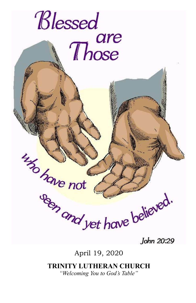

John 20:29

April 19, 2020

## TRINITY LUTHERAN CHURCH

"Welcoming You to God's Table"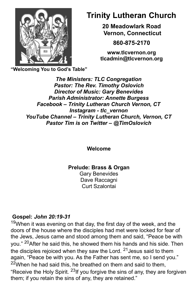

# Trinity Lutheran Church

20 Meadowlark Road Vernon, Connecticut

860-875-2170

www.tlcvernon.org tlcadmin@tlcvernon.org

"Welcoming You to God's Table"

The Ministers: TLC Congregation Pastor: The Rev. Timothy Oslovich Director of Music: Gary Benevides Parish Administrator: Annette Burgess Facebook – Trinity Lutheran Church Vernon, CT Instagram - tlc\_vernon YouTube Channel – Trinity Lutheran Church, Vernon, CT Pastor Tim is on Twitter – @TimOslovich

Welcome

Prelude: Brass & Organ

Gary Benevides Dave Raccagni Curt Szalontai

## Gospel: John 20:19-31

 $19$ When it was evening on that day, the first day of the week, and the doors of the house where the disciples had met were locked for fear of the Jews, Jesus came and stood among them and said, "Peace be with you." 20After he said this, he showed them his hands and his side. Then the disciples rejoiced when they saw the Lord.  $21$  Jesus said to them again, "Peace be with you. As the Father has sent me, so I send you."  $22$ When he had said this, he breathed on them and said to them, "Receive the Holy Spirit.  $^{23}$ If you forgive the sins of any, they are forgiven them; if you retain the sins of any, they are retained."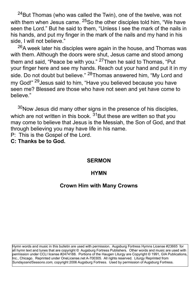$^{24}$ But Thomas (who was called the Twin), one of the twelve, was not with them when Jesus came. <sup>25</sup>So the other disciples told him, "We have seen the Lord." But he said to them, "Unless I see the mark of the nails in his hands, and put my finger in the mark of the nails and my hand in his side, I will not believe."

 $26A$  week later his disciples were again in the house, and Thomas was with them. Although the doors were shut, Jesus came and stood among them and said, "Peace be with you." <sup>27</sup>Then he said to Thomas, "Put your finger here and see my hands. Reach out your hand and put it in my side. Do not doubt but believe." <sup>28</sup>Thomas answered him, "My Lord and my God!" <sup>29</sup> Jesus said to him, "Have you believed because you have seen me? Blessed are those who have not seen and yet have come to believe."

 $30$ Now Jesus did many other signs in the presence of his disciples, which are not written in this book.  $31$ But these are written so that you may come to believe that Jesus is the Messiah, the Son of God, and that through believing you may have life in his name.

P: This is the Gospel of the Lord.

C: Thanks be to God.

#### **SERMON**

#### **HYMN**

#### Crown Him with Many Crowns

Hymn words and music in this bulletin are used with permission. Augsburg Fortress Hymns License #23665 for all hymn text and tunes that are copyright © Augsburg Fortress Publishers. Other words and music are used with permission under CCLI license #2474188. Portions of the Haugen Liturgy are Copyright © 1991, GIA Publications, Inc., Chicago. Reprinted under OneLicense.net A-700305. All rights reserved. Liturgy Reprinted from Sundaysand Seasons.com, copyright 2006 Augsburg Fortress. Used by permission of Augsburg Fortress.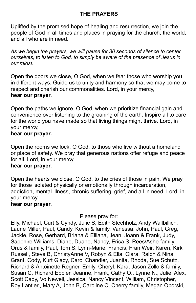## THE PRAYERS

Uplifted by the promised hope of healing and resurrection, we join the people of God in all times and places in praying for the church, the world, and all who are in need.

As we begin the prayers, we will pause for 30 seconds of silence to center ourselves, to listen to God, to simply be aware of the presence of Jesus in our midst.

Open the doors we close, O God, when we fear those who worship you in different ways. Guide us to unity and harmony so that we may come to respect and cherish our commonalities. Lord, in your mercy, hear our prayer.

Open the paths we ignore, O God, when we prioritize financial gain and convenience over listening to the groaning of the earth. Inspire all to care for the world you have made so that living things might thrive. Lord, in your mercy,

## hear our prayer.

Open the rooms we lock, O God, to those who live without a homeland or place of safety. We pray that generous nations offer refuge and peace for all. Lord, in your mercy,

## hear our prayer.

Open the hearts we close, O God, to the cries of those in pain. We pray for those isolated physically or emotionally through incarceration, addiction, mental illness, chronic suffering, grief, and all in need. Lord, in your mercy,

### hear our prayer.

Please pray for:

Elly, Michael, Curt & Cyndy, Julie S, Edith Stechholz, Andy Wallbillich, Laurie Miller, Paul, Candy, Kevin & family, Vanessa, John, Paul, Greg, Jackie, Rose, Gerhard, Briana & Elliana, Jean, Joann & Frank, Judy, Sapphire Williams, Diane, Duane, Nancy, Erica S, Rees/Ashe family, Orus & family, Paul, Tom S, Lynn-Marie, Francis, Fran Weir, Karen, Kirk Russell, Steve B, ChristyAnne V, Robyn & Ella, Clara, Ralph & Nina, Grant, Cody, Kurt Glacy, Carol Chandler, Juanita, Rhoda, Sue Schutz, Richard & Antoinette Regner, Emily, Cheryl, Kara, Jason Zollo & family, Susan C, Richard Eppler, Jeanne, Frank, Cathy O., Lynne N., Julie, Alex, Scott Cady, Vo Newell, Jessica, Nancy Vincent, William, Christopher, Roy Lantieri, Mary A, John B, Caroline C, Cherry family, Megan Oborski,